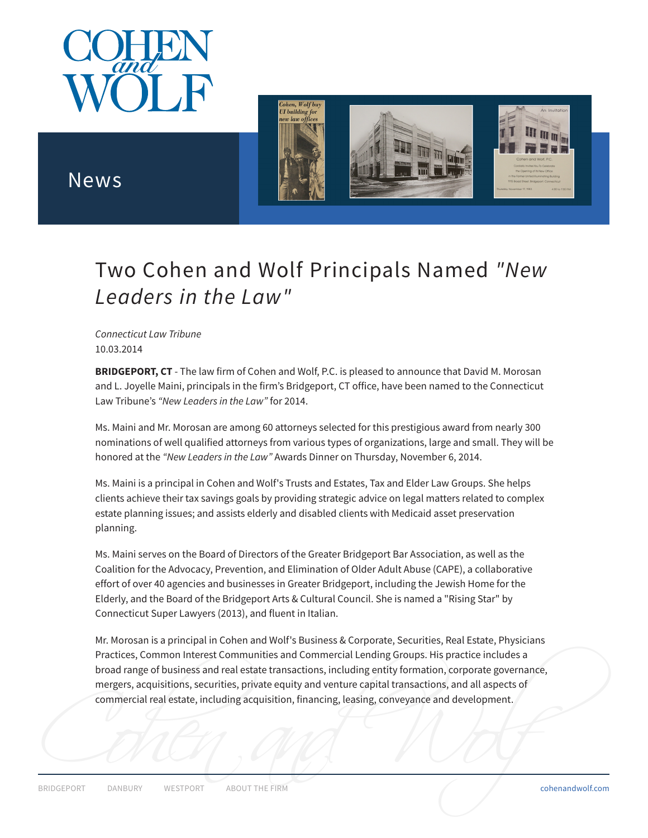



## News

## Two Cohen and Wolf Principals Named *"New Leaders in the Law"*

*Connecticut Law Tribune* 10.03.2014

**BRIDGEPORT, CT** - The law firm of Cohen and Wolf, P.C. is pleased to announce that David M. Morosan and L. Joyelle Maini, principals in the firm's Bridgeport, CT office, have been named to the Connecticut Law Tribune's *"New Leaders in the Law"* for 2014.

Ms. Maini and Mr. Morosan are among 60 attorneys selected for this prestigious award from nearly 300 nominations of well qualified attorneys from various types of organizations, large and small. They will be honored at the *"New Leaders in the Law"* Awards Dinner on Thursday, November 6, 2014.

Ms. Maini is a principal in Cohen and Wolf's Trusts and Estates, Tax and Elder Law Groups. She helps clients achieve their tax savings goals by providing strategic advice on legal matters related to complex estate planning issues; and assists elderly and disabled clients with Medicaid asset preservation planning.

Ms. Maini serves on the Board of Directors of the Greater Bridgeport Bar Association, as well as the Coalition for the Advocacy, Prevention, and Elimination of Older Adult Abuse (CAPE), a collaborative effort of over 40 agencies and businesses in Greater Bridgeport, including the Jewish Home for the Elderly, and the Board of the Bridgeport Arts & Cultural Council. She is named a "Rising Star" by Connecticut Super Lawyers (2013), and fluent in Italian.

Mr. Morosan is a principal in Cohen and Wolf's Business & Corporate, Securities, Real Estate, Physicians Practices, Common Interest Communities and Commercial Lending Groups. His practice includes a broad range of business and real estate transactions, including entity formation, corporate governance, mergers, acquisitions, securities, private equity and venture capital transactions, and all aspects of commercial real estate, including acquisition, financing, leasing, conveyance and development.